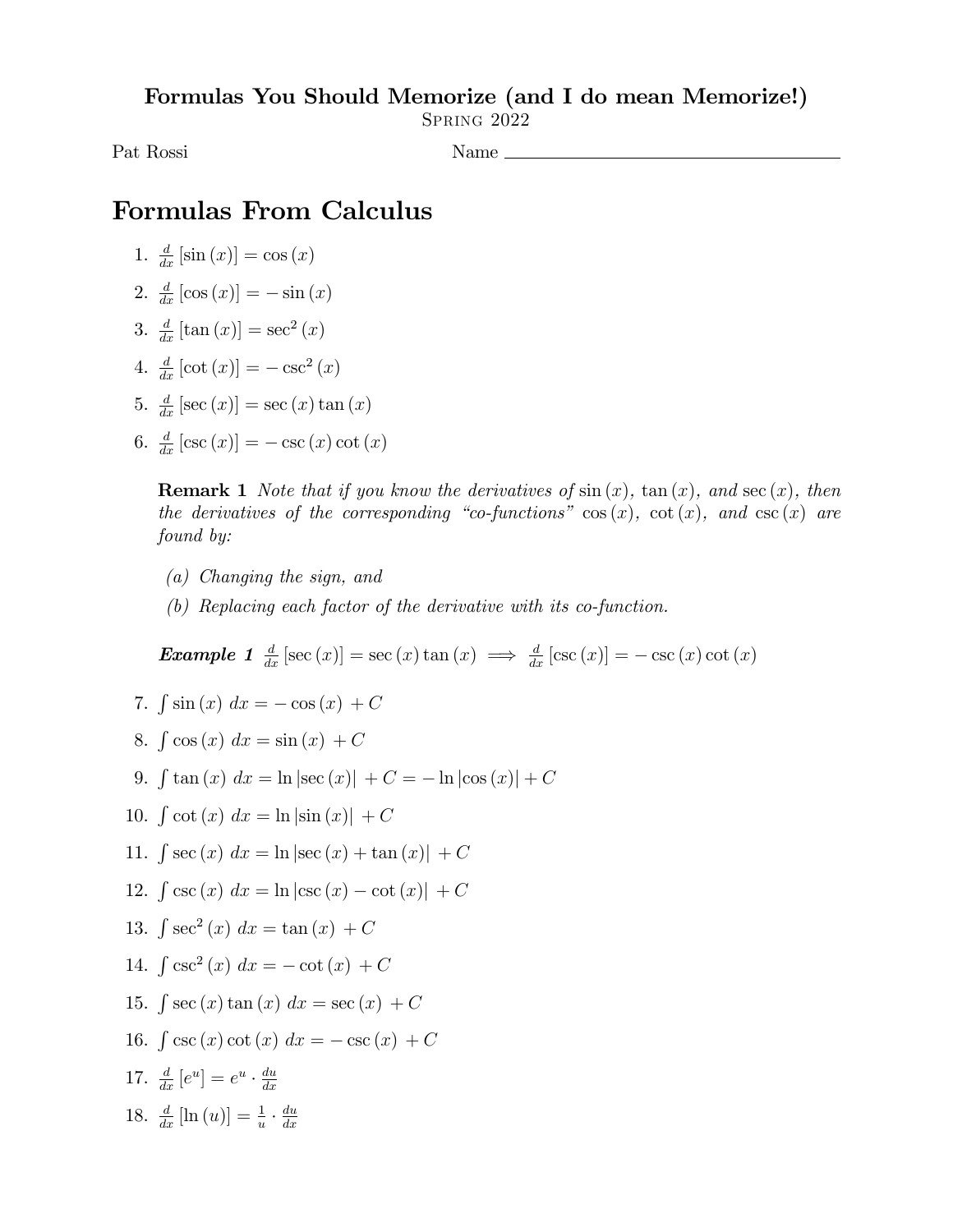Formulas You Should Memorize (and I do mean Memorize!)

Spring 2022

Pat Rossi Name

## Formulas From Calculus

- 1.  $\frac{d}{dx} [\sin (x)] = \cos (x)$
- 2.  $\frac{d}{dx} [\cos(x)] = -\sin(x)$
- 3.  $\frac{d}{dx} [\tan(x)] = \sec^2(x)$
- 4.  $\frac{d}{dx} [\cot(x)] = -\csc^2(x)$
- 5.  $\frac{d}{dx}$  [sec  $(x)$ ] = sec  $(x)$  tan  $(x)$
- 6.  $\frac{d}{dx} [\csc(x)] = -\csc(x) \cot(x)$

**Remark 1** Note that if you know the derivatives of  $\sin(x)$ ,  $\tan(x)$ , and  $\sec(x)$ , then the derivatives of the corresponding "co-functions"  $\cos(x)$ ,  $\cot(x)$ , and  $\csc(x)$  are found by:

- (a) Changing the sign, and
- (b) Replacing each factor of the derivative with its co-function.

**Example 1**  $\frac{d}{dx} [\sec(x)] = \sec(x) \tan(x) \implies \frac{d}{dx} [\csc(x)] = -\csc(x) \cot(x)$ 

- 7.  $\int \sin (x) \, dx = -\cos (x) + C$
- 8.  $\int \cos(x) dx = \sin(x) + C$
- 9.  $\int \tan (x) \ dx = \ln |\sec (x)| + C = -\ln |\cos (x)| + C$
- 10.  $\int \cot (x) \, dx = \ln |\sin (x)| + C$
- 11.  $\int \sec(x) \, dx = \ln|\sec(x) + \tan(x)| + C$
- 12.  $\int \csc(x) \, dx = \ln|\csc(x) \cot(x)| + C$
- 13.  $\int \sec^2(x) \, dx = \tan(x) + C$
- 14.  $\int \csc^2(x) \, dx = -\cot(x) + C$
- 15.  $\int \sec (x) \tan (x) \ dx = \sec (x) + C$
- 16.  $\int \csc(x) \cot(x) \, dx = -\csc(x) + C$
- 17.  $\frac{d}{dx}[e^u] = e^u \cdot \frac{du}{dx}$  $dx$
- 18.  $\frac{d}{dx}$ [ln (u)] =  $\frac{1}{u} \cdot \frac{du}{dx}$  $dx$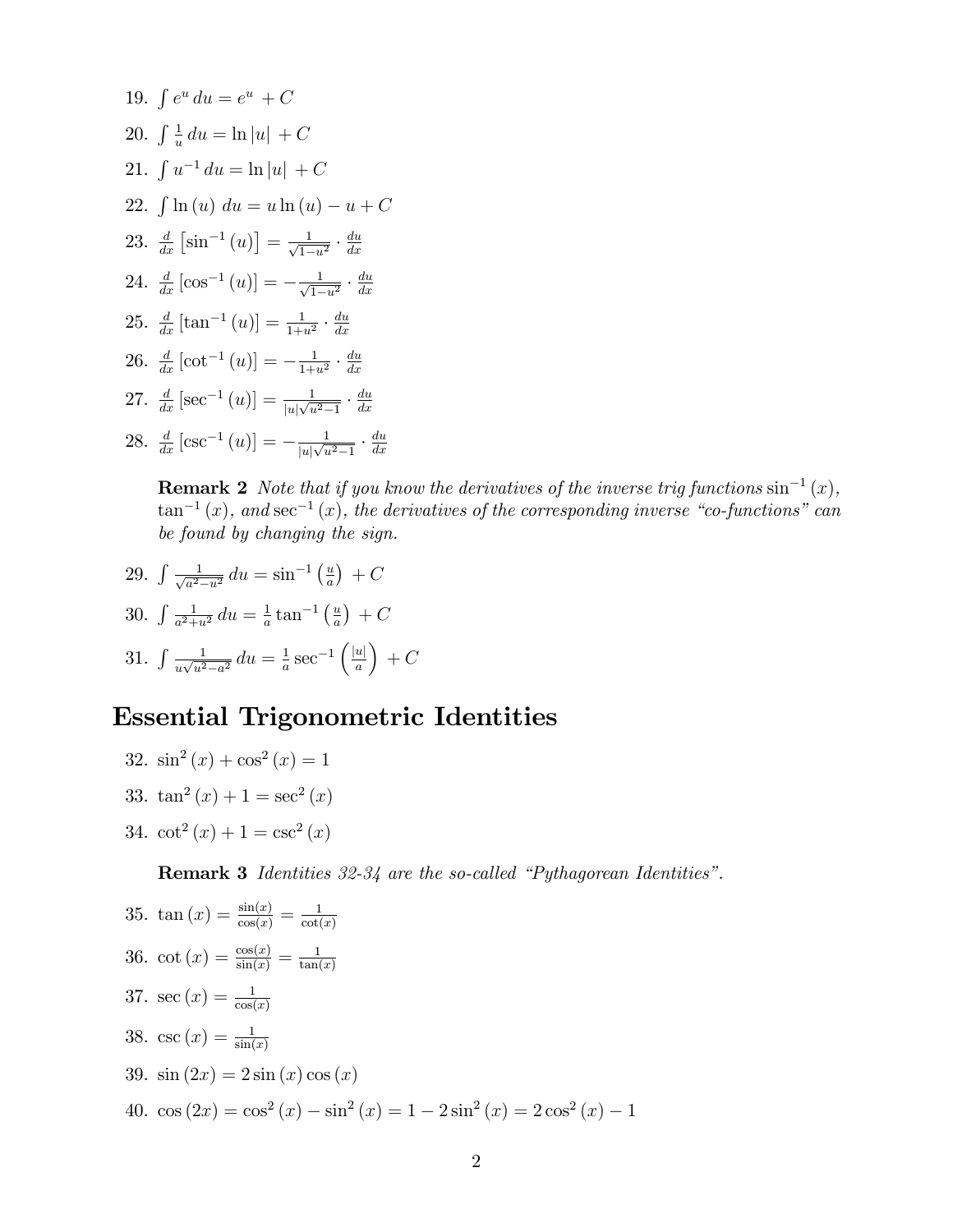19. 
$$
\int e^u du = e^u + C
$$
  
\n20.  $\int \frac{1}{u} du = \ln |u| + C$   
\n21.  $\int u^{-1} du = \ln |u| + C$   
\n22.  $\int \ln (u) du = u \ln (u) - u + C$   
\n23.  $\frac{d}{dx} [\sin^{-1} (u)] = \frac{1}{\sqrt{1-u^2}} \cdot \frac{du}{dx}$   
\n24.  $\frac{d}{dx} [\cos^{-1} (u)] = -\frac{1}{\sqrt{1-u^2}} \cdot \frac{du}{dx}$   
\n25.  $\frac{d}{dx} [\tan^{-1} (u)] = \frac{1}{1+u^2} \cdot \frac{du}{dx}$   
\n26.  $\frac{d}{dx} [\cot^{-1} (u)] = -\frac{1}{1+u^2} \cdot \frac{du}{dx}$   
\n27.  $\frac{d}{dx} [\sec^{-1} (u)] = \frac{1}{|u|\sqrt{u^2-1}} \cdot \frac{du}{dx}$   
\n28.  $\frac{d}{dx} [\csc^{-1} (u)] = -\frac{1}{|u|\sqrt{u^2-1}} \cdot \frac{du}{dx}$ 

**Remark 2** Note that if you know the derivatives of the inverse trig functions  $\sin^{-1}(x)$ ,  $\tan^{-1}(x)$ , and  $\sec^{-1}(x)$ , the derivatives of the corresponding inverse "co-functions" can be found by changing the sign.

29. 
$$
\int \frac{1}{\sqrt{a^2 - u^2}} du = \sin^{-1} \left( \frac{u}{a} \right) + C
$$

30. 
$$
\int \frac{1}{a^2 + u^2} du = \frac{1}{a} \tan^{-1} \left( \frac{u}{a} \right) + C
$$

31. 
$$
\int \frac{1}{u\sqrt{u^2 - a^2}} du = \frac{1}{a} \sec^{-1} \left( \frac{|u|}{a} \right) + C
$$

## Essential Trigonometric Identities

32.  $\sin^2(x) + \cos^2(x) = 1$ 33.  $\tan^2(x) + 1 = \sec^2(x)$ 34.  $\cot^2(x) + 1 = \csc^2(x)$ 

**Remark 3** Identities  $32-34$  are the so-called "Pythagorean Identities".

35. 
$$
\tan(x) = \frac{\sin(x)}{\cos(x)} = \frac{1}{\cot(x)}
$$
  
\n36.  $\cot(x) = \frac{\cos(x)}{\sin(x)} = \frac{1}{\tan(x)}$   
\n37.  $\sec(x) = \frac{1}{\cos(x)}$   
\n38.  $\csc(x) = \frac{1}{\sin(x)}$   
\n39.  $\sin(2x) = 2\sin(x)\cos(x)$   
\n40.  $\cos(2x) = \cos^2(x) - \sin^2(x) = 1 - 2\sin^2(x) = 2\cos^2(x) - 1$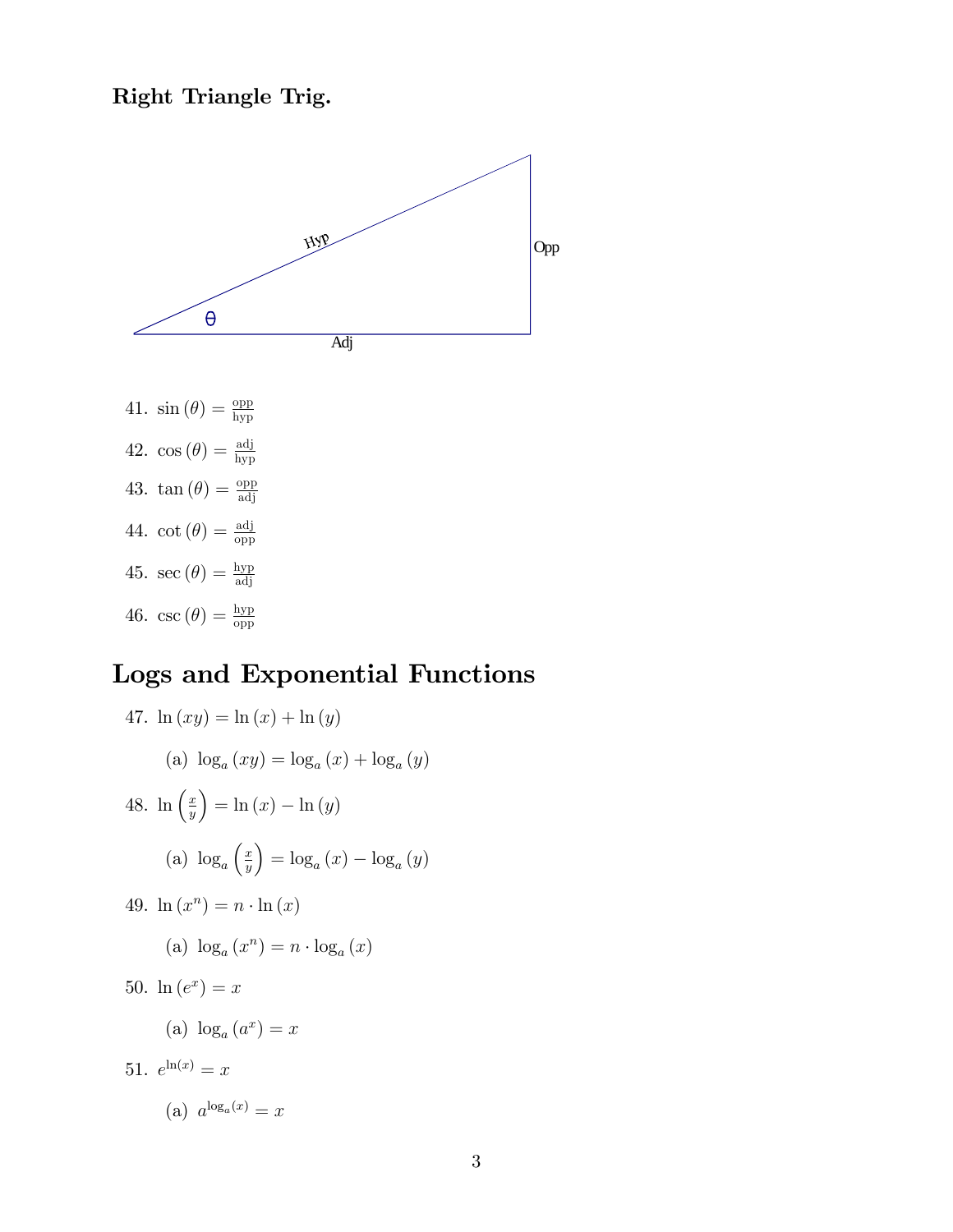## Right Triangle Trig.



# Logs and Exponential Functions

47. 
$$
\ln(xy) = \ln(x) + \ln(y)
$$
  
\n(a)  $\log_a(xy) = \log_a(x) + \log_a(y)$   
\n48.  $\ln\left(\frac{x}{y}\right) = \ln(x) - \ln(y)$   
\n(a)  $\log_a\left(\frac{x}{y}\right) = \log_a(x) - \log_a(y)$   
\n49.  $\ln(x^n) = n \cdot \ln(x)$   
\n(a)  $\log_a(x^n) = n \cdot \log_a(x)$   
\n50.  $\ln(e^x) = x$   
\n(a)  $\log_a(a^x) = x$   
\n51.  $e^{\ln(x)} = x$   
\n(a)  $a^{\log_a(x)} = x$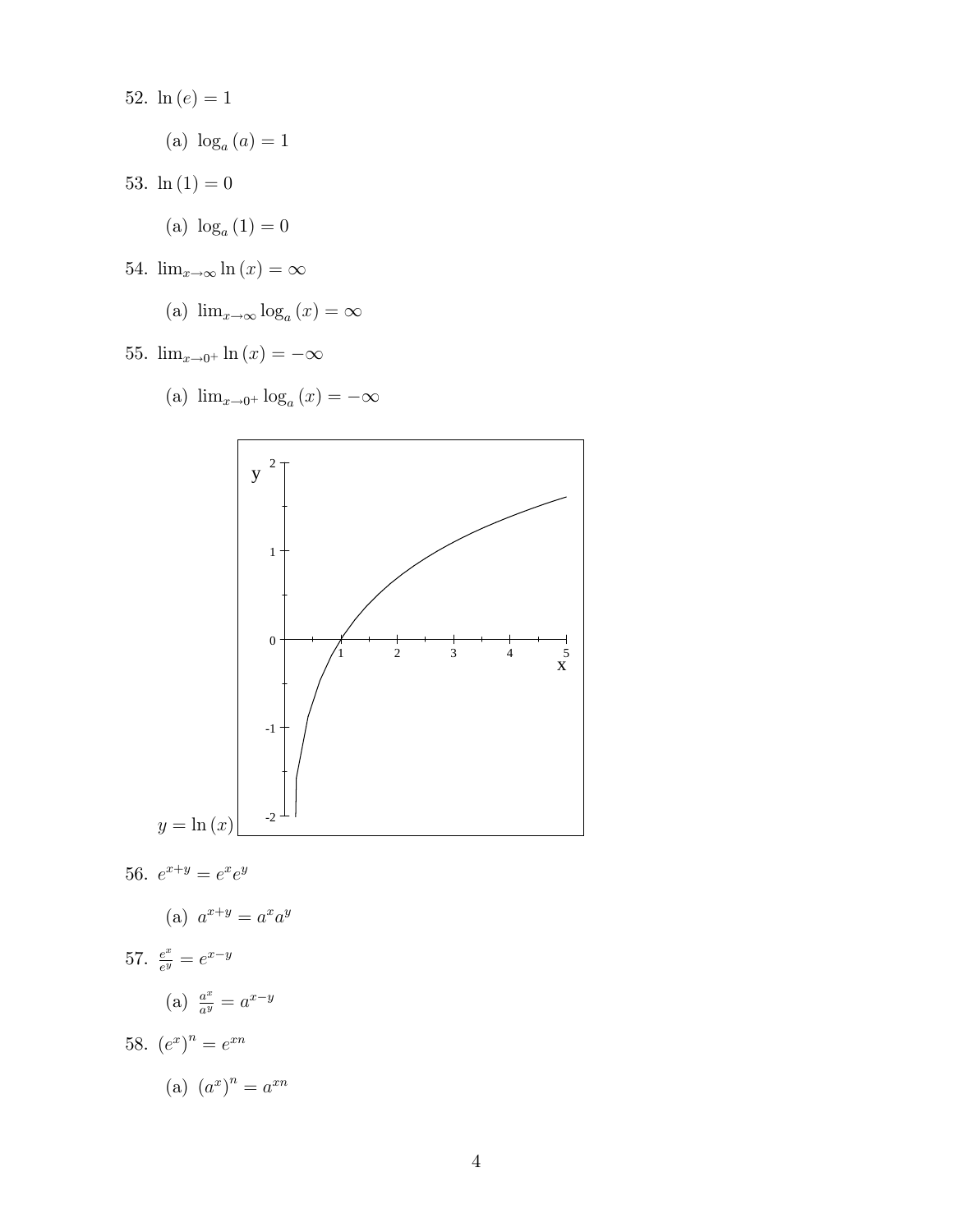- 52.  $ln(e) = 1$ 
	- (a)  $log_a(a) = 1$
- 53.  $\ln(1) = 0$ 
	- (a)  $log_a(1) = 0$
- 54.  $\lim_{x\to\infty} \ln(x) = \infty$ 
	- (a)  $\lim_{x \to \infty} \log_a(x) = \infty$
- 55.  $\lim_{x \to 0^+} \ln(x) = -\infty$

(a) 
$$
\lim_{x\to 0^+} \log_a(x) = -\infty
$$



56.  $e^{x+y} = e^x e^y$ 

$$
(a) a^{x+y} = a^x a^y
$$

57.  $\frac{e^x}{e^y}$  $\frac{e^x}{e^y}=e^{x-y}$ 

$$
(a) \ \frac{a^x}{a^y} = a^{x-y}
$$

58.  $(e^x)^n = e^{xn}$ 

$$
(a) (a^x)^n = a^{xn}
$$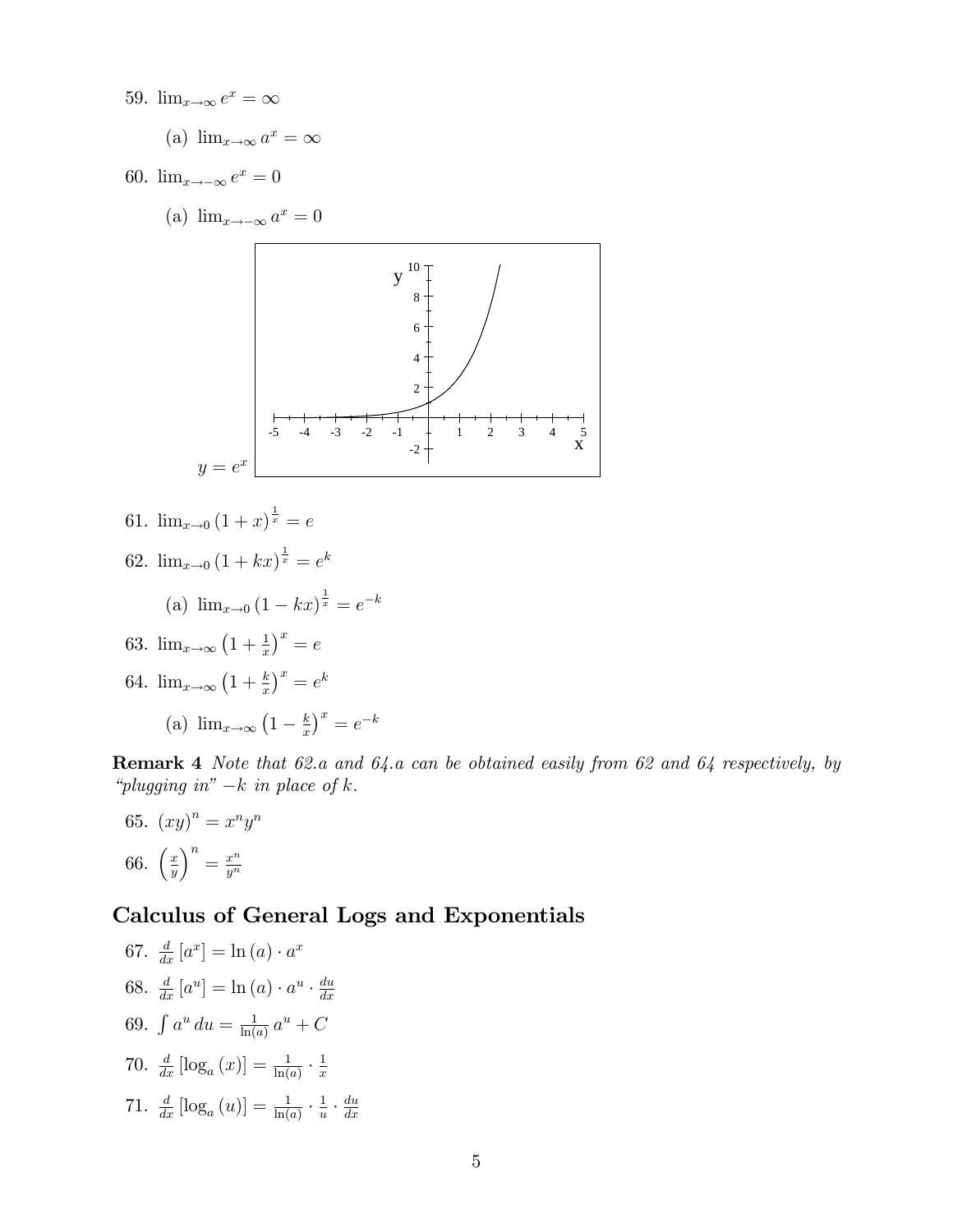- 59.  $\lim_{x\to\infty} e^x = \infty$ 
	- (a)  $\lim_{x \to \infty} a^x = \infty$
- 60.  $\lim_{x \to -\infty} e^x = 0$ 
	- (a)  $\lim_{x \to -\infty} a^x = 0$



61.  $\lim_{x\to 0} (1+x)^{\frac{1}{x}} = e$ 62.  $\lim_{x\to 0} (1 + kx)^{\frac{1}{x}} = e^k$ 

(a) 
$$
\lim_{x \to 0} (1 - kx)^{\frac{1}{x}} = e^{-k}
$$

63.  $\lim_{x \to \infty} (1 + \frac{1}{x})^x = e$ 

64. 
$$
\lim_{x \to \infty} \left(1 + \frac{k}{x}\right)^x = e^k
$$

(a) 
$$
\lim_{x \to \infty} \left(1 - \frac{k}{x}\right)^x = e^{-k}
$$

Remark 4 Note that 62.a and 64.a can be obtained easily from 62 and 64 respectively, by "plugging in"  $-k$  in place of  $k$ .

65.  $(xy)^n = x^n y^n$ 66.  $\left(\frac{x}{y}\right)$  $\overline{y}$  $\Big)^n = \frac{x^n}{n^n}$  $\overline{y^n}$ 

### Calculus of General Logs and Exponentials

67. 
$$
\frac{d}{dx} [a^x] = \ln (a) \cdot a^x
$$
  
\n68. 
$$
\frac{d}{dx} [a^u] = \ln (a) \cdot a^u \cdot \frac{du}{dx}
$$
  
\n69. 
$$
\int a^u du = \frac{1}{\ln(a)} a^u + C
$$
  
\n70. 
$$
\frac{d}{dx} [\log_a (x)] = \frac{1}{\ln(a)} \cdot \frac{1}{x}
$$
  
\n71. 
$$
\frac{d}{dx} [\log_a (u)] = \frac{1}{\ln(a)} \cdot \frac{1}{u} \cdot \frac{du}{dx}
$$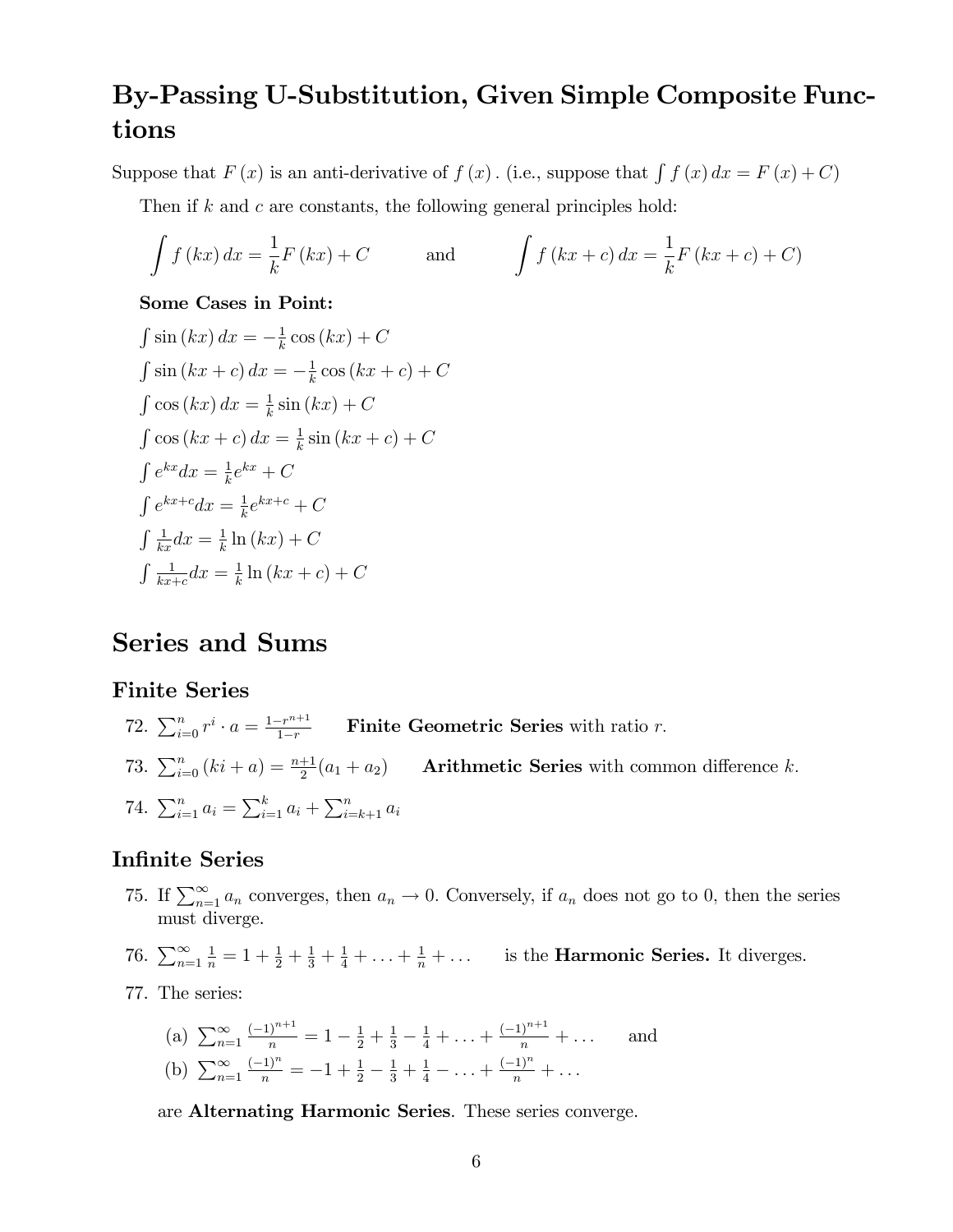## By-Passing U-Substitution, Given Simple Composite Functions

Suppose that  $F(x)$  is an anti-derivative of  $f(x)$ . (i.e., suppose that  $\int f(x) dx = F(x) + C$ )

Then if k and c are constants, the following general principles hold:

$$
\int f(kx) dx = \frac{1}{k} F(kx) + C \qquad \text{and} \qquad \int f(kx + c) dx = \frac{1}{k} F(kx + c) + C
$$

#### Some Cases in Point:

$$
\int \sin(kx) dx = -\frac{1}{k} \cos(kx) + C
$$
  

$$
\int \sin(kx + c) dx = -\frac{1}{k} \cos(kx + c) + C
$$
  

$$
\int \cos(kx) dx = \frac{1}{k} \sin(kx) + C
$$
  

$$
\int \cos(kx + c) dx = \frac{1}{k} \sin(kx + c) + C
$$
  

$$
\int e^{kx} dx = \frac{1}{k} e^{kx} + C
$$
  

$$
\int e^{kx+c} dx = \frac{1}{k} e^{kx+c} + C
$$
  

$$
\int \frac{1}{kx} dx = \frac{1}{k} \ln(kx) + C
$$
  

$$
\int \frac{1}{kx+c} dx = \frac{1}{k} \ln(kx + c) + C
$$

## Series and Sums

### Finite Series

- 72.  $\sum_{i=0}^{n} r^i \cdot a = \frac{1-r^{n+1}}{1-r}$  Finite Geometric Series with ratio r.
- 73.  $\sum_{i=0}^{n} (ki + a) = \frac{n+1}{2}(a_1 + a_2)$  Arithmetic Series with common difference k.

74. 
$$
\sum_{i=1}^{n} a_i = \sum_{i=1}^{k} a_i + \sum_{i=k+1}^{n} a_i
$$

### **Infinite Series**

- 75. If  $\sum_{n=1}^{\infty} a_n$  converges, then  $a_n \to 0$ . Conversely, if  $a_n$  does not go to 0, then the series must diverge.
- 76.  $\sum_{n=1}^{\infty}$  $\frac{1}{n} = 1 + \frac{1}{2} + \frac{1}{3} + \frac{1}{4} + \ldots + \frac{1}{n} + \ldots$  is the **Harmonic Series.** It diverges.
- 77. The series:

(a) 
$$
\sum_{n=1}^{\infty} \frac{(-1)^{n+1}}{n} = 1 - \frac{1}{2} + \frac{1}{3} - \frac{1}{4} + \dots + \frac{(-1)^{n+1}}{n} + \dots
$$
 and  
(b) 
$$
\sum_{n=1}^{\infty} \frac{(-1)^n}{n} = -1 + \frac{1}{2} - \frac{1}{3} + \frac{1}{4} - \dots + \frac{(-1)^n}{n} + \dots
$$

are Alternating Harmonic Series. These series converge.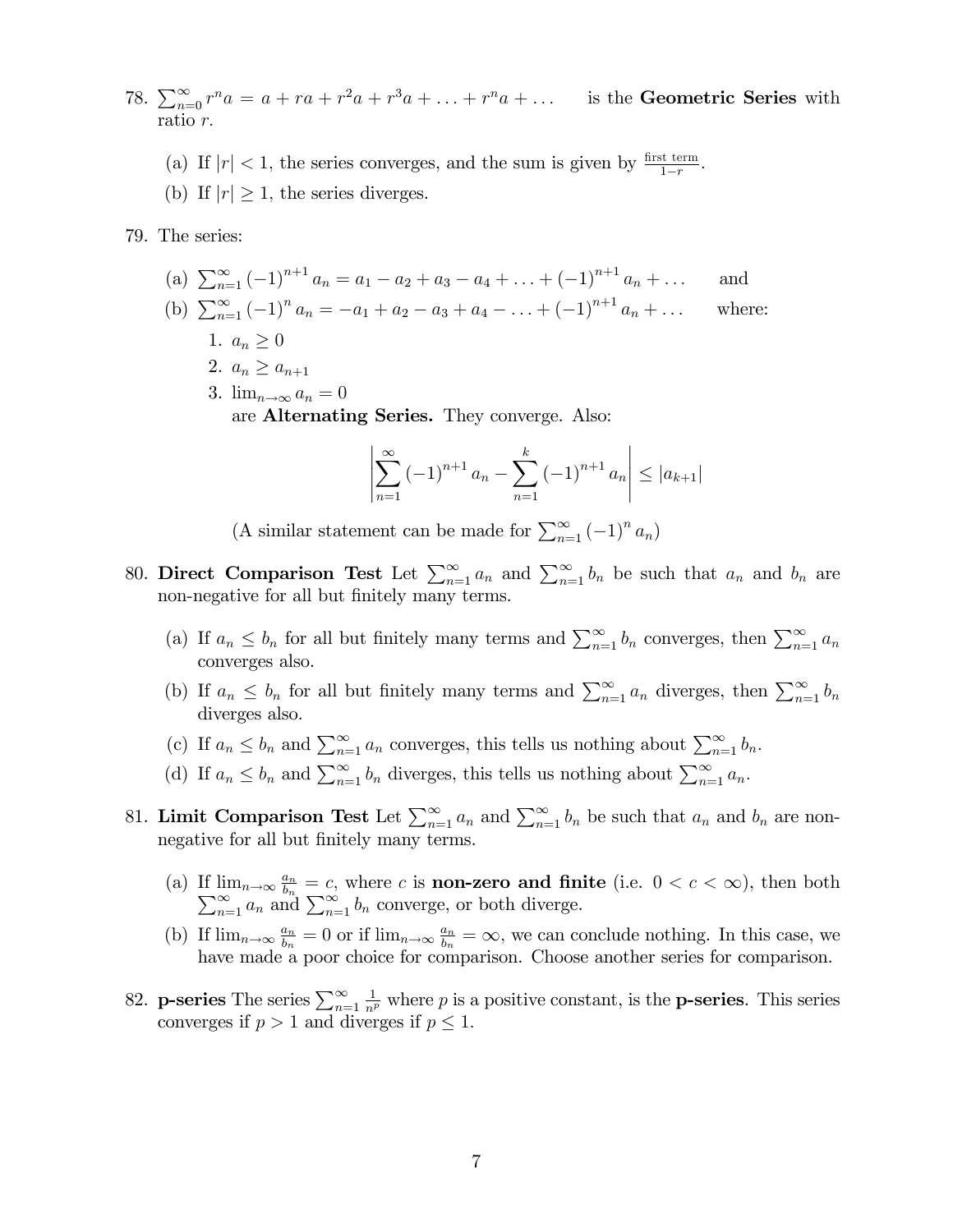- 78.  $\sum_{n=0}^{\infty} r^n a = a + ra + r^2 a + r^3 a + \ldots + r^n a + \ldots$  is the Geometric Series with ratio r.
	- (a) If  $|r| < 1$ , the series converges, and the sum is given by  $\frac{\text{first term}}{1-r}$ .
	- (b) If  $|r| \geq 1$ , the series diverges.
- 79. The series:
	- (a)  $\sum_{n=1}^{\infty} (-1)^{n+1} a_n = a_1 a_2 + a_3 a_4 + \ldots + (-1)^{n+1} a_n + \ldots$  and (b)  $\sum_{n=1}^{\infty} (-1)^n a_n = -a_1 + a_2 - a_3 + a_4 - \ldots + (-1)^{n+1} a_n + \ldots$  where: 1.  $a_n > 0$ 
		- 2.  $a_n \geq a_{n+1}$
		- 3.  $\lim_{n\to\infty} a_n = 0$ are Alternating Series. They converge. Also:

$$
\left| \sum_{n=1}^{\infty} \left( -1 \right)^{n+1} a_n - \sum_{n=1}^{k} \left( -1 \right)^{n+1} a_n \right| \le |a_{k+1}|
$$

(A similar statement can be made for  $\sum_{n=1}^{\infty} (-1)^n a_n$ )

- 80. Direct Comparison Test Let  $\sum_{n=1}^{\infty} a_n$  and  $\sum_{n=1}^{\infty} b_n$  be such that  $a_n$  and  $b_n$  are non-negative for all but finitely many terms.
	- (a) If  $a_n \leq b_n$  for all but finitely many terms and  $\sum_{n=1}^{\infty} b_n$  converges, then  $\sum_{n=1}^{\infty} a_n$ converges also.
	- (b) If  $a_n \leq b_n$  for all but finitely many terms and  $\sum_{n=1}^{\infty} a_n$  diverges, then  $\sum_{n=1}^{\infty} b_n$ diverges also.
	- (c) If  $a_n \leq b_n$  and  $\sum_{n=1}^{\infty} a_n$  converges, this tells us nothing about  $\sum_{n=1}^{\infty} b_n$ .
	- (d) If  $a_n \leq b_n$  and  $\sum_{n=1}^{\infty} b_n$  diverges, this tells us nothing about  $\sum_{n=1}^{\infty} a_n$ .
- 81. Limit Comparison Test Let  $\sum_{n=1}^{\infty} a_n$  and  $\sum_{n=1}^{\infty} b_n$  be such that  $a_n$  and  $b_n$  are nonnegative for all but finitely many terms.
	- (a) If  $\lim_{n\to\infty} \frac{a_n}{b_n} = c$ , where c is **non-zero and finite** (i.e.  $0 < c < \infty$ ), then both  $\sum_{n=1}^{\infty} a_n$  and  $\sum_{n=1}^{\infty} b_n$  converge, or both diverge.
	- (b) If  $\lim_{n\to\infty} \frac{a_n}{b_n}$  $\frac{a_n}{b_n} = 0$  or if  $\lim_{n \to \infty} \frac{a_n}{b_n}$  $\frac{a_n}{b_n} = \infty$ , we can conclude nothing. In this case, we have made a poor choice for comparison. Choose another series for comparison.
- 82. **p-series** The series  $\sum_{n=1}^{\infty}$  $\frac{1}{n^p}$  where p is a positive constant, is the **p-series**. This series converges if  $p > 1$  and diverges if  $p \leq 1$ .